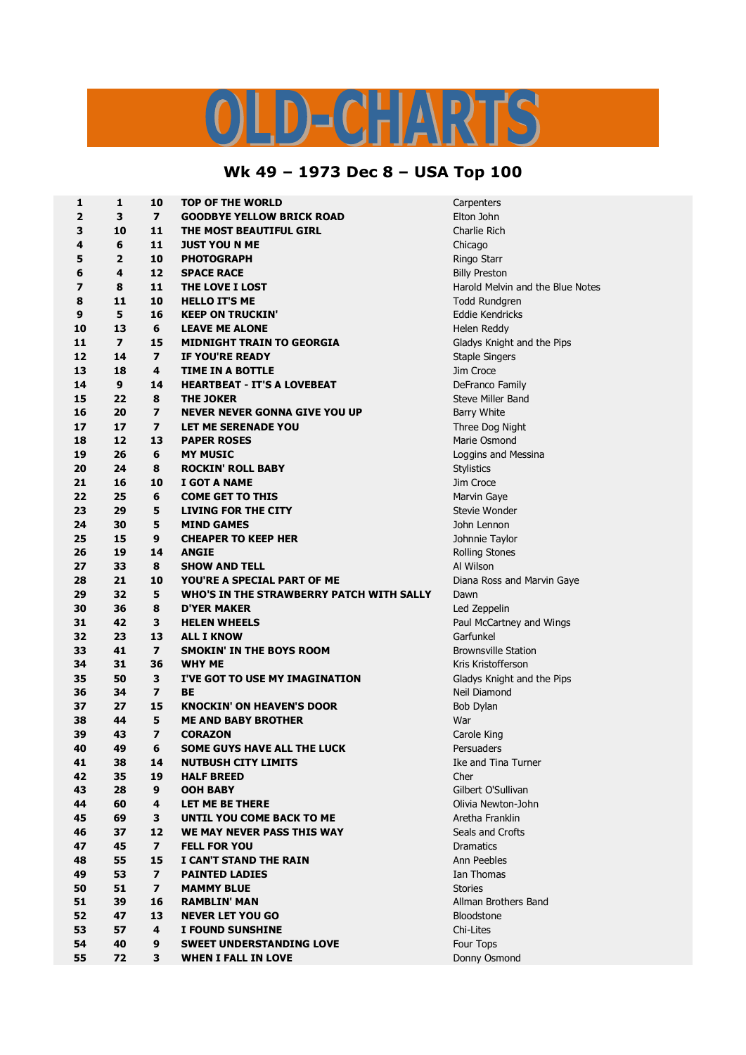## OLD-CHARTS

## **Wk 49 – 1973 Dec 8 – USA Top 100**

| 1  | $\mathbf{1}$   | 10                      | <b>TOP OF THE WORLD</b>                  | Carpenters                       |
|----|----------------|-------------------------|------------------------------------------|----------------------------------|
| 2  | 3              | $\overline{ }$          | <b>GOODBYE YELLOW BRICK ROAD</b>         | Elton John                       |
| 3  | 10             | 11                      | THE MOST BEAUTIFUL GIRL                  | Charlie Rich                     |
| 4  | 6              | 11                      | <b>JUST YOU N ME</b>                     | Chicago                          |
| 5  | 2              | 10                      | <b>PHOTOGRAPH</b>                        | Ringo Starr                      |
| 6  | 4              | 12                      | <b>SPACE RACE</b>                        | <b>Billy Preston</b>             |
| 7  | 8              | 11                      | THE LOVE I LOST                          | Harold Melvin and the Blue Notes |
| 8  | 11             | 10                      | <b>HELLO IT'S ME</b>                     | <b>Todd Rundgren</b>             |
| 9  | 5              | 16                      | <b>KEEP ON TRUCKIN'</b>                  | Eddie Kendricks                  |
| 10 | 13             | 6                       | <b>LEAVE ME ALONE</b>                    | Helen Reddy                      |
| 11 | $\overline{ }$ | 15                      | <b>MIDNIGHT TRAIN TO GEORGIA</b>         | Gladys Knight and the Pips       |
| 12 | 14             | $\overline{\mathbf{z}}$ | <b>IF YOU'RE READY</b>                   | <b>Staple Singers</b>            |
| 13 | 18             | 4                       | <b>TIME IN A BOTTLE</b>                  | Jim Croce                        |
| 14 | $\mathbf{9}$   | 14                      | <b>HEARTBEAT - IT'S A LOVEBEAT</b>       | DeFranco Family                  |
| 15 | 22             | 8                       | <b>THE JOKER</b>                         | Steve Miller Band                |
| 16 | 20             | $\overline{\mathbf{z}}$ | <b>NEVER NEVER GONNA GIVE YOU UP</b>     | <b>Barry White</b>               |
| 17 | 17             | $\overline{ }$          | LET ME SERENADE YOU                      | Three Dog Night                  |
| 18 | 12             | 13                      | <b>PAPER ROSES</b>                       | Marie Osmond                     |
| 19 | 26             | 6                       | <b>MY MUSIC</b>                          | Loggins and Messina              |
| 20 | 24             | 8                       | <b>ROCKIN' ROLL BABY</b>                 | <b>Stylistics</b>                |
| 21 | 16             | 10                      | I GOT A NAME                             | Jim Croce                        |
| 22 | 25             | 6                       | <b>COME GET TO THIS</b>                  | Marvin Gaye                      |
| 23 | 29             | 5                       | LIVING FOR THE CITY                      | Stevie Wonder                    |
| 24 | 30             | 5                       | <b>MIND GAMES</b>                        | John Lennon                      |
| 25 | 15             | 9                       | <b>CHEAPER TO KEEP HER</b>               | Johnnie Taylor                   |
| 26 | 19             | 14                      | <b>ANGIE</b>                             | <b>Rolling Stones</b>            |
| 27 | 33             | 8                       | <b>SHOW AND TELL</b>                     | Al Wilson                        |
| 28 | 21             | 10                      | YOU'RE A SPECIAL PART OF ME              | Diana Ross and Marvin Gaye       |
| 29 | 32             | 5                       | WHO'S IN THE STRAWBERRY PATCH WITH SALLY | Dawn                             |
| 30 | 36             | 8                       | <b>D'YER MAKER</b>                       | Led Zeppelin                     |
| 31 | 42             | 3                       | <b>HELEN WHEELS</b>                      | Paul McCartney and Wings         |
| 32 | 23             | 13                      | <b>ALL I KNOW</b>                        | Garfunkel                        |
| 33 | 41             | $\overline{\mathbf{z}}$ | <b>SMOKIN' IN THE BOYS ROOM</b>          | <b>Brownsville Station</b>       |
| 34 | 31             | 36                      | <b>WHY ME</b>                            | Kris Kristofferson               |
| 35 | 50             | 3                       | I'VE GOT TO USE MY IMAGINATION           | Gladys Knight and the Pips       |
| 36 | 34             | $\overline{\mathbf{z}}$ | BE                                       | Neil Diamond                     |
| 37 | 27             | 15                      | <b>KNOCKIN' ON HEAVEN'S DOOR</b>         | Bob Dylan                        |
| 38 | 44             | 5                       | <b>ME AND BABY BROTHER</b>               | War                              |
| 39 | 43             | $\overline{\mathbf{z}}$ | <b>CORAZON</b>                           | Carole King                      |
| 40 | 49             | 6                       | <b>SOME GUYS HAVE ALL THE LUCK</b>       | Persuaders                       |
| 41 | 38             | 14                      | <b>NUTBUSH CITY LIMITS</b>               | Ike and Tina Turner              |
| 42 | 35             | 19                      | <b>HALF BREED</b>                        | Cher                             |
| 43 | 28             | 9                       | <b>OOH BABY</b>                          | Gilbert O'Sullivan               |
| 44 | 60             | 4                       | LET ME BE THERE                          | Olivia Newton-John               |
| 45 | 69             | 3                       | UNTIL YOU COME BACK TO ME                | Aretha Franklin                  |
| 46 | 37             | 12                      | WE MAY NEVER PASS THIS WAY               | Seals and Crofts                 |
| 47 | 45             | $\overline{ }$          | <b>FELL FOR YOU</b>                      | <b>Dramatics</b>                 |
| 48 | 55             | 15                      | I CAN'T STAND THE RAIN                   | Ann Peebles                      |
| 49 | 53             | $\overline{ }$          | <b>PAINTED LADIES</b>                    | <b>Ian Thomas</b>                |
| 50 | 51             | $\overline{ }$          | <b>MAMMY BLUE</b>                        | <b>Stories</b>                   |
| 51 | 39             | 16                      | <b>RAMBLIN' MAN</b>                      | Allman Brothers Band             |
| 52 | 47             | 13                      | <b>NEVER LET YOU GO</b>                  | <b>Bloodstone</b>                |
| 53 | 57             | 4                       | I FOUND SUNSHINE                         | Chi-Lites                        |
| 54 | 40             | 9                       | <b>SWEET UNDERSTANDING LOVE</b>          | Four Tops                        |
| 55 | 72             | 3                       | <b>WHEN I FALL IN LOVE</b>               | Donny Osmond                     |